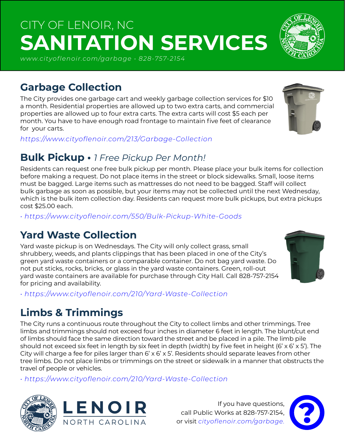# CITY OF LENOIR, NC **SANITATION SERVICES**

*www.cityoflenoir.com/garbage • 828-757-2154*

#### **Garbage Collection**

The City provides one garbage cart and weekly garbage collection services for \$10 a month. Residential properties are allowed up to two extra carts, and commercial properties are allowed up to four extra carts. The extra carts will cost \$5 each per month. You have to have enough road frontage to maintain five feet of clearance for your carts.

*https://www.cityoflenoir.com/213/Garbage-Collection*

#### **Bulk Pickup •** *1 Free Pickup Per Month!*

Residents can request one free bulk pickup per month. Please place your bulk items for collection before making a request. Do not place items in the street or block sidewalks. Small, loose items must be bagged. Large items such as mattresses do not need to be bagged. Staff will collect bulk garbage as soon as possible, but your items may not be collected until the next Wednesday, which is the bulk item collection day. Residents can request more bulk pickups, but extra pickups cost \$25.00 each.

*• https://www.cityoflenoir.com/550/Bulk-Pickup-White-Goods*

#### **Yard Waste Collection**

Yard waste pickup is on Wednesdays. The City will only collect grass, small shrubbery, weeds, and plants clippings that has been placed in one of the City's green yard waste containers or a comparable container. Do not bag yard waste. Do not put sticks, rocks, bricks, or glass in the yard waste containers. Green, roll-out yard waste containers are available for purchase through City Hall. Call 828-757-2154 for pricing and availability.

*• https://www.cityoflenoir.com/210/Yard-Waste-Collection*

## **Limbs & Trimmings**

The City runs a continuous route throughout the City to collect limbs and other trimmings. Tree limbs and trimmings should not exceed four inches in diameter 6 feet in length. The blunt/cut end of limbs should face the same direction toward the street and be placed in a pile. The limb pile should not exceed six feet in length by six feet in depth (width) by five feet in height (6' x 6' x 5'). The City will charge a fee for piles larger than 6' x 6' x 5'. Residents should separate leaves from other tree limbs. Do not place limbs or trimmings on the street or sidewalk in a manner that obstructs the travel of people or vehicles.

*• https://www.cityoflenoir.com/210/Yard-Waste-Collection*